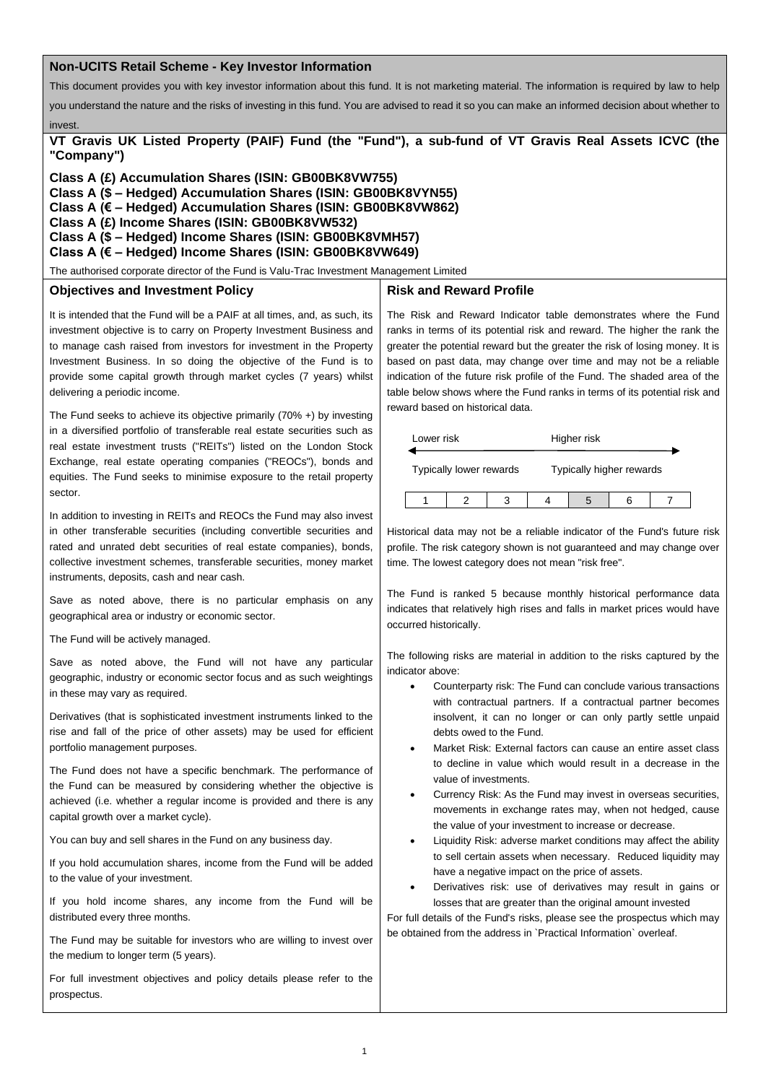### **Non-UCITS Retail Scheme - Key Investor Information**

This document provides you with key investor information about this fund. It is not marketing material. The information is required by law to help

you understand the nature and the risks of investing in this fund. You are advised to read it so you can make an informed decision about whether to

**VT Gravis UK Listed Property (PAIF) Fund (the "Fund"), a sub-fund of VT Gravis Real Assets ICVC (the "Company")**

**Class A (£) Accumulation Shares (ISIN: GB00BK8VW755) Class A (\$ – Hedged) Accumulation Shares (ISIN: GB00BK8VYN55) Class A (€ – Hedged) Accumulation Shares (ISIN: GB00BK8VW862) Class A (£) Income Shares (ISIN: GB00BK8VW532) Class A (\$ – Hedged) Income Shares (ISIN: GB00BK8VMH57) Class A (€ – Hedged) Income Shares (ISIN: GB00BK8VW649)**

The authorised corporate director of the Fund is Valu-Trac Investment Management Limited

### **Objectives and Investment Policy**

invest.

**Risk and Reward Profile**

It is intended that the Fund will be a PAIF at all times, and, as such, its investment objective is to carry on Property Investment Business and to manage cash raised from investors for investment in the Property Investment Business. In so doing the objective of the Fund is to provide some capital growth through market cycles (7 years) whilst delivering a periodic income.

The Fund seeks to achieve its objective primarily (70% +) by investing in a diversified portfolio of transferable real estate securities such as real estate investment trusts ("REITs") listed on the London Stock Exchange, real estate operating companies ("REOCs"), bonds and equities. The Fund seeks to minimise exposure to the retail property sector.

In addition to investing in REITs and REOCs the Fund may also invest in other transferable securities (including convertible securities and rated and unrated debt securities of real estate companies), bonds, collective investment schemes, transferable securities, money market instruments, deposits, cash and near cash.

Save as noted above, there is no particular emphasis on any geographical area or industry or economic sector.

The Fund will be actively managed.

Save as noted above, the Fund will not have any particular geographic, industry or economic sector focus and as such weightings in these may vary as required.

Derivatives (that is sophisticated investment instruments linked to the rise and fall of the price of other assets) may be used for efficient portfolio management purposes.

The Fund does not have a specific benchmark. The performance of the Fund can be measured by considering whether the objective is achieved (i.e. whether a regular income is provided and there is any capital growth over a market cycle).

You can buy and sell shares in the Fund on any business day.

If you hold accumulation shares, income from the Fund will be added to the value of your investment.

If you hold income shares, any income from the Fund will be distributed every three months.

The Fund may be suitable for investors who are willing to invest over the medium to longer term (5 years).

For full investment objectives and policy details please refer to the prospectus.

The Risk and Reward Indicator table demonstrates where the Fund ranks in terms of its potential risk and reward. The higher the rank the greater the potential reward but the greater the risk of losing money. It is based on past data, may change over time and may not be a reliable indication of the future risk profile of the Fund. The shaded area of the table below shows where the Fund ranks in terms of its potential risk and reward based on historical data.

| Lower risk              |  |  | Higher risk |                          |  |  |  |
|-------------------------|--|--|-------------|--------------------------|--|--|--|
| Typically lower rewards |  |  |             | Typically higher rewards |  |  |  |
|                         |  |  |             |                          |  |  |  |

Historical data may not be a reliable indicator of the Fund's future risk profile. The risk category shown is not guaranteed and may change over time. The lowest category does not mean "risk free".

The Fund is ranked 5 because monthly historical performance data indicates that relatively high rises and falls in market prices would have occurred historically.

The following risks are material in addition to the risks captured by the indicator above:

- Counterparty risk: The Fund can conclude various transactions with contractual partners. If a contractual partner becomes insolvent, it can no longer or can only partly settle unpaid debts owed to the Fund.
- Market Risk: External factors can cause an entire asset class to decline in value which would result in a decrease in the value of investments.
- Currency Risk: As the Fund may invest in overseas securities, movements in exchange rates may, when not hedged, cause the value of your investment to increase or decrease.
- Liquidity Risk: adverse market conditions may affect the ability to sell certain assets when necessary. Reduced liquidity may have a negative impact on the price of assets.
- Derivatives risk: use of derivatives may result in gains or losses that are greater than the original amount invested

For full details of the Fund's risks, please see the prospectus which may be obtained from the address in `Practical Information` overleaf.